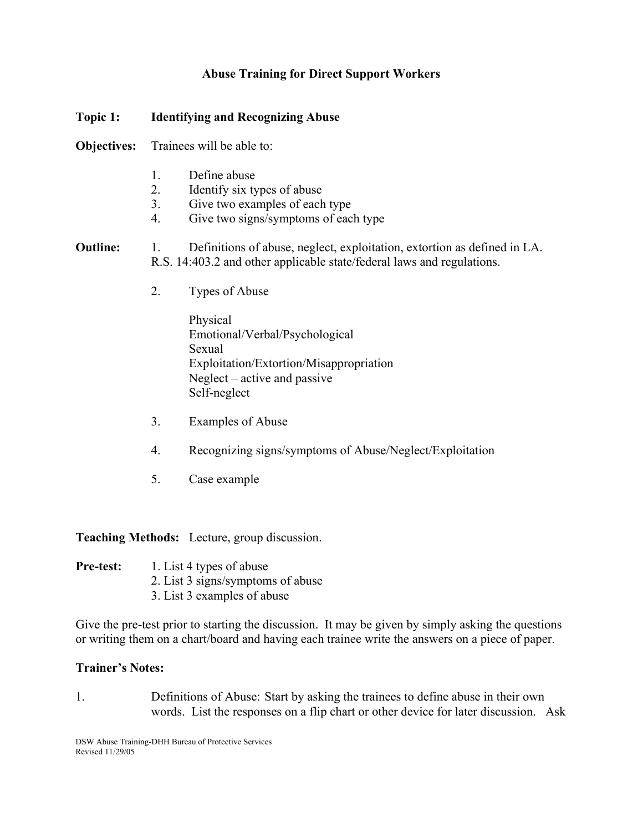## **Abuse Training for Direct Support Workers**

# **Topic 1: Identifying and Recognizing Abuse Objectives:** Trainees will be able to: 1. Define abuse 2. Identify six types of abuse 3. Give two examples of each type 4. Give two signs/symptoms of each type **Outline:** 1. Definitions of abuse, neglect, exploitation, extortion as defined in LA. R.S. 14:403.2 and other applicable state/federal laws and regulations. 2. Types of Abuse Physical Emotional/Verbal/Psychological Sexual Exploitation/Extortion/Misappropriation Neglect – active and passive Self-neglect

- 3. Examples of Abuse
- 4. Recognizing signs/symptoms of Abuse/Neglect/Exploitation
- 5. Case example

**Teaching Methods:** Lecture, group discussion.

- **Pre-test:** 1. List 4 types of abuse
	- 2. List 3 signs/symptoms of abuse
	- 3. List 3 examples of abuse

Give the pre-test prior to starting the discussion. It may be given by simply asking the questions or writing them on a chart/board and having each trainee write the answers on a piece of paper.

#### **Trainer's Notes:**

1. Definitions of Abuse: Start by asking the trainees to define abuse in their own words. List the responses on a flip chart or other device for later discussion. Ask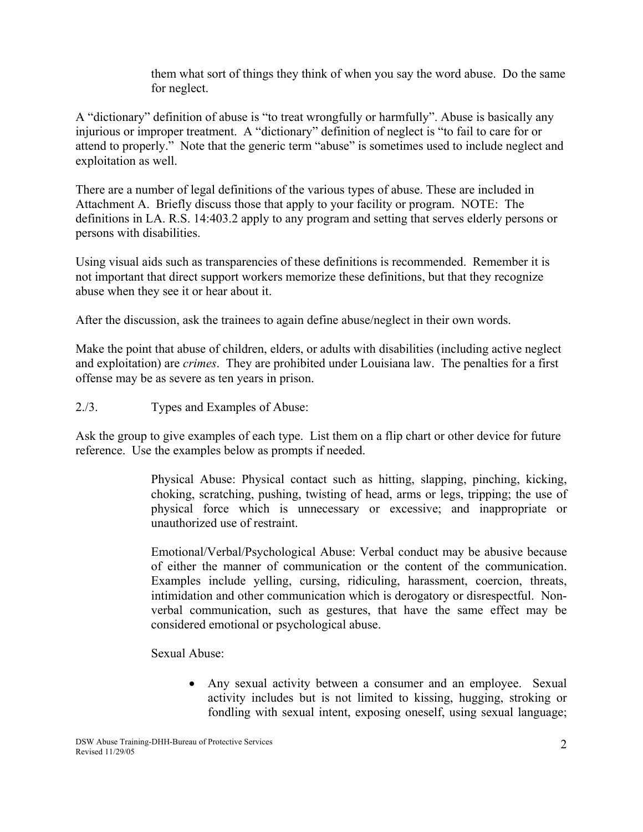them what sort of things they think of when you say the word abuse. Do the same for neglect.

A "dictionary" definition of abuse is "to treat wrongfully or harmfully". Abuse is basically any injurious or improper treatment. A "dictionary" definition of neglect is "to fail to care for or attend to properly." Note that the generic term "abuse" is sometimes used to include neglect and exploitation as well.

There are a number of legal definitions of the various types of abuse. These are included in Attachment A. Briefly discuss those that apply to your facility or program. NOTE: The definitions in LA. R.S. 14:403.2 apply to any program and setting that serves elderly persons or persons with disabilities.

Using visual aids such as transparencies of these definitions is recommended. Remember it is not important that direct support workers memorize these definitions, but that they recognize abuse when they see it or hear about it.

After the discussion, ask the trainees to again define abuse/neglect in their own words.

Make the point that abuse of children, elders, or adults with disabilities (including active neglect and exploitation) are *crimes*. They are prohibited under Louisiana law. The penalties for a first offense may be as severe as ten years in prison.

2./3. Types and Examples of Abuse:

Ask the group to give examples of each type. List them on a flip chart or other device for future reference. Use the examples below as prompts if needed.

> Physical Abuse: Physical contact such as hitting, slapping, pinching, kicking, choking, scratching, pushing, twisting of head, arms or legs, tripping; the use of physical force which is unnecessary or excessive; and inappropriate or unauthorized use of restraint.

> Emotional/Verbal/Psychological Abuse: Verbal conduct may be abusive because of either the manner of communication or the content of the communication. Examples include yelling, cursing, ridiculing, harassment, coercion, threats, intimidation and other communication which is derogatory or disrespectful. Nonverbal communication, such as gestures, that have the same effect may be considered emotional or psychological abuse.

Sexual Abuse:

• Any sexual activity between a consumer and an employee. Sexual activity includes but is not limited to kissing, hugging, stroking or fondling with sexual intent, exposing oneself, using sexual language;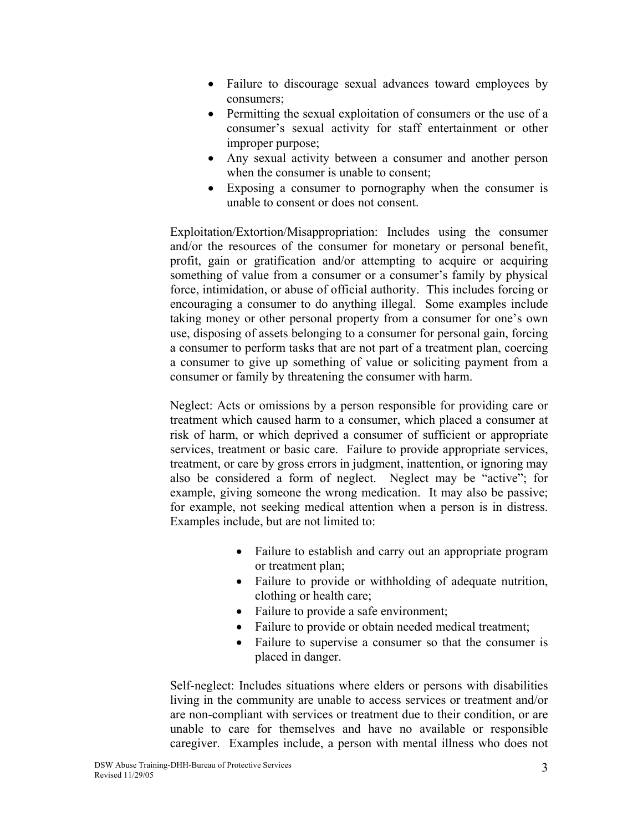- Failure to discourage sexual advances toward employees by consumers;
- Permitting the sexual exploitation of consumers or the use of a consumer's sexual activity for staff entertainment or other improper purpose;
- Any sexual activity between a consumer and another person when the consumer is unable to consent;
- Exposing a consumer to pornography when the consumer is unable to consent or does not consent.

Exploitation/Extortion/Misappropriation: Includes using the consumer and/or the resources of the consumer for monetary or personal benefit, profit, gain or gratification and/or attempting to acquire or acquiring something of value from a consumer or a consumer's family by physical force, intimidation, or abuse of official authority. This includes forcing or encouraging a consumer to do anything illegal. Some examples include taking money or other personal property from a consumer for one's own use, disposing of assets belonging to a consumer for personal gain, forcing a consumer to perform tasks that are not part of a treatment plan, coercing a consumer to give up something of value or soliciting payment from a consumer or family by threatening the consumer with harm.

Neglect: Acts or omissions by a person responsible for providing care or treatment which caused harm to a consumer, which placed a consumer at risk of harm, or which deprived a consumer of sufficient or appropriate services, treatment or basic care. Failure to provide appropriate services, treatment, or care by gross errors in judgment, inattention, or ignoring may also be considered a form of neglect. Neglect may be "active"; for example, giving someone the wrong medication. It may also be passive; for example, not seeking medical attention when a person is in distress. Examples include, but are not limited to:

- Failure to establish and carry out an appropriate program or treatment plan;
- Failure to provide or withholding of adequate nutrition, clothing or health care;
- Failure to provide a safe environment;
- Failure to provide or obtain needed medical treatment;
- Failure to supervise a consumer so that the consumer is placed in danger.

Self-neglect: Includes situations where elders or persons with disabilities living in the community are unable to access services or treatment and/or are non-compliant with services or treatment due to their condition, or are unable to care for themselves and have no available or responsible caregiver. Examples include, a person with mental illness who does not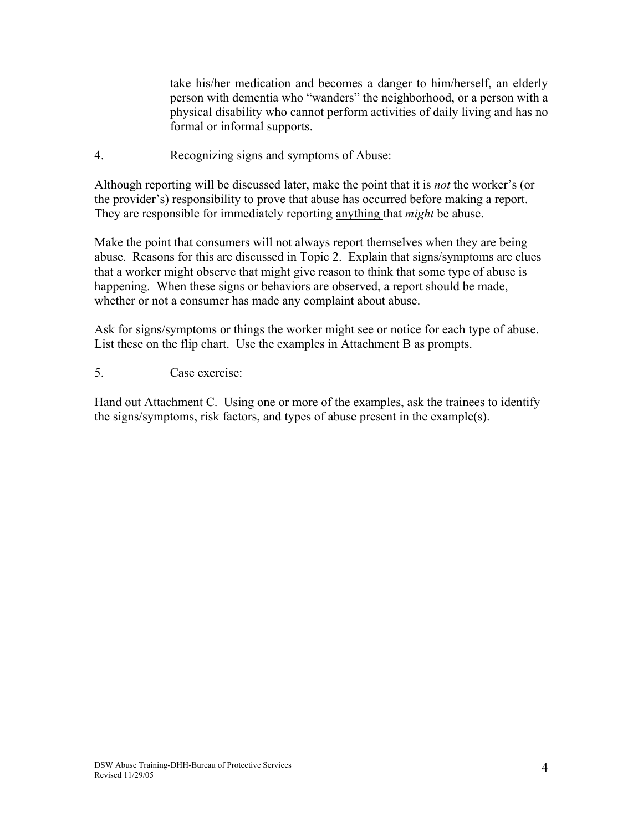take his/her medication and becomes a danger to him/herself, an elderly person with dementia who "wanders" the neighborhood, or a person with a physical disability who cannot perform activities of daily living and has no formal or informal supports.

4. Recognizing signs and symptoms of Abuse:

Although reporting will be discussed later, make the point that it is *not* the worker's (or the provider's) responsibility to prove that abuse has occurred before making a report. They are responsible for immediately reporting anything that *might* be abuse.

Make the point that consumers will not always report themselves when they are being abuse. Reasons for this are discussed in Topic 2. Explain that signs/symptoms are clues that a worker might observe that might give reason to think that some type of abuse is happening. When these signs or behaviors are observed, a report should be made, whether or not a consumer has made any complaint about abuse.

Ask for signs/symptoms or things the worker might see or notice for each type of abuse. List these on the flip chart. Use the examples in Attachment B as prompts.

5. Case exercise:

Hand out Attachment C. Using one or more of the examples, ask the trainees to identify the signs/symptoms, risk factors, and types of abuse present in the example(s).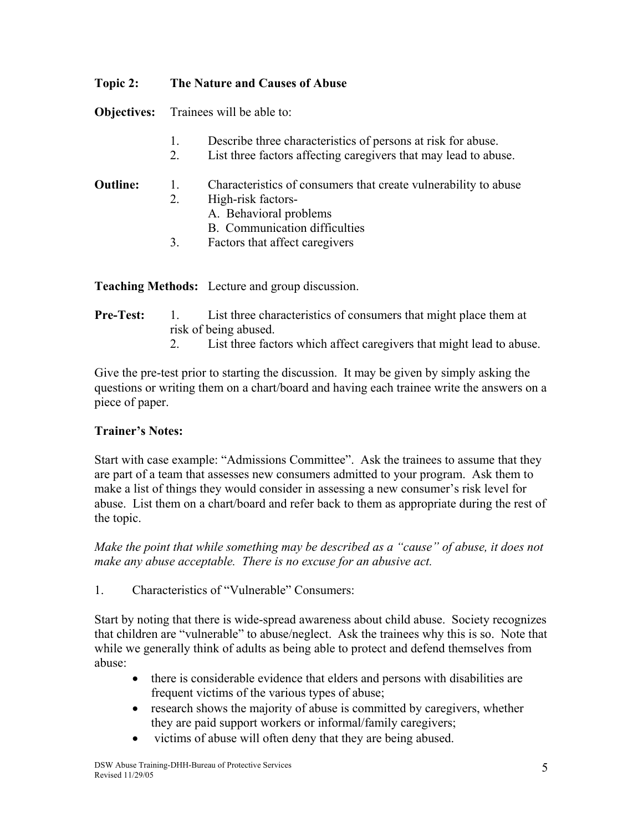## **Topic 2: The Nature and Causes of Abuse**

**Objectives:** Trainees will be able to:

- 1. Describe three characteristics of persons at risk for abuse.
- 2. List three factors affecting caregivers that may lead to abuse.

## **Outline:** 1. Characteristics of consumers that create vulnerability to abuse

- 2. High-risk factors-
	- A. Behavioral problems
	- B. Communication difficulties
- 3. Factors that affect caregivers

**Teaching Methods:** Lecture and group discussion.

## **Pre-Test:** 1. List three characteristics of consumers that might place them at risk of being abused.

2. List three factors which affect caregivers that might lead to abuse.

Give the pre-test prior to starting the discussion. It may be given by simply asking the questions or writing them on a chart/board and having each trainee write the answers on a piece of paper.

#### **Trainer's Notes:**

Start with case example: "Admissions Committee". Ask the trainees to assume that they are part of a team that assesses new consumers admitted to your program. Ask them to make a list of things they would consider in assessing a new consumer's risk level for abuse. List them on a chart/board and refer back to them as appropriate during the rest of the topic.

*Make the point that while something may be described as a "cause" of abuse, it does not make any abuse acceptable. There is no excuse for an abusive act.* 

1. Characteristics of "Vulnerable" Consumers:

Start by noting that there is wide-spread awareness about child abuse. Society recognizes that children are "vulnerable" to abuse/neglect. Ask the trainees why this is so. Note that while we generally think of adults as being able to protect and defend themselves from abuse:

- there is considerable evidence that elders and persons with disabilities are frequent victims of the various types of abuse;
- research shows the majority of abuse is committed by caregivers, whether they are paid support workers or informal/family caregivers;
- victims of abuse will often deny that they are being abused.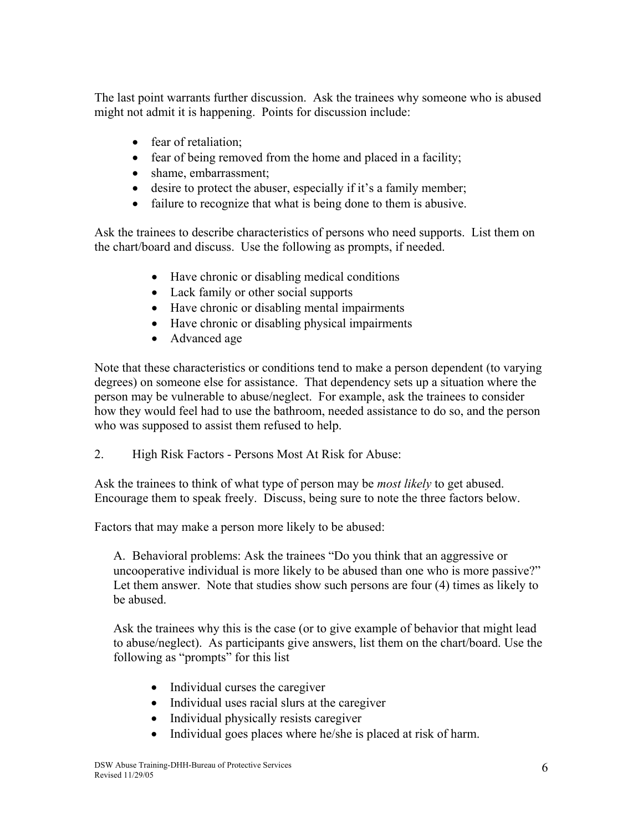The last point warrants further discussion. Ask the trainees why someone who is abused might not admit it is happening. Points for discussion include:

- fear of retaliation;
- fear of being removed from the home and placed in a facility;
- shame, embarrassment;
- desire to protect the abuser, especially if it's a family member;
- failure to recognize that what is being done to them is abusive.

Ask the trainees to describe characteristics of persons who need supports. List them on the chart/board and discuss. Use the following as prompts, if needed.

- Have chronic or disabling medical conditions
- Lack family or other social supports
- Have chronic or disabling mental impairments
- Have chronic or disabling physical impairments
- Advanced age

Note that these characteristics or conditions tend to make a person dependent (to varying degrees) on someone else for assistance. That dependency sets up a situation where the person may be vulnerable to abuse/neglect. For example, ask the trainees to consider how they would feel had to use the bathroom, needed assistance to do so, and the person who was supposed to assist them refused to help.

2. High Risk Factors - Persons Most At Risk for Abuse:

Ask the trainees to think of what type of person may be *most likely* to get abused. Encourage them to speak freely. Discuss, being sure to note the three factors below.

Factors that may make a person more likely to be abused:

A. Behavioral problems: Ask the trainees "Do you think that an aggressive or uncooperative individual is more likely to be abused than one who is more passive?" Let them answer. Note that studies show such persons are four (4) times as likely to be abused.

Ask the trainees why this is the case (or to give example of behavior that might lead to abuse/neglect). As participants give answers, list them on the chart/board. Use the following as "prompts" for this list

- Individual curses the caregiver
- Individual uses racial slurs at the caregiver
- Individual physically resists caregiver
- Individual goes places where he/she is placed at risk of harm.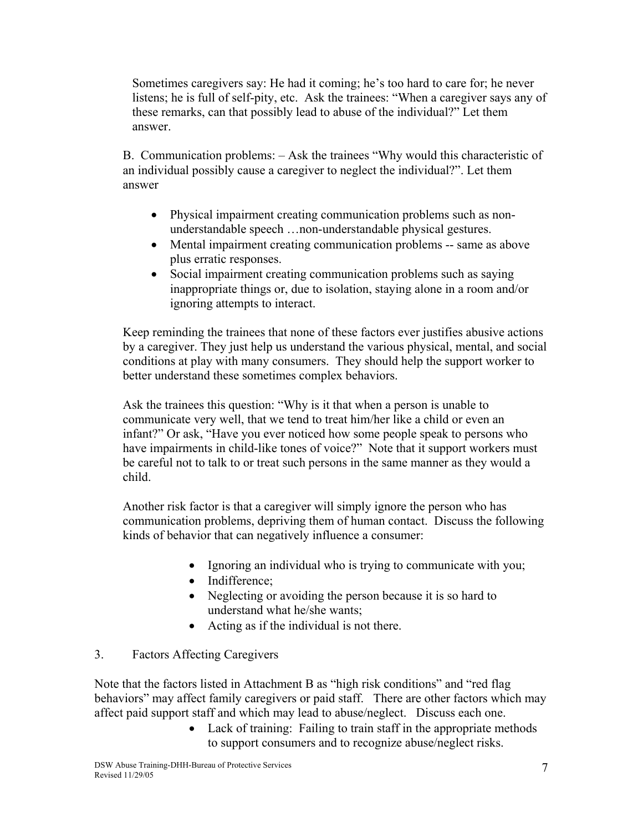Sometimes caregivers say: He had it coming; he's too hard to care for; he never listens; he is full of self-pity, etc. Ask the trainees: "When a caregiver says any of these remarks, can that possibly lead to abuse of the individual?" Let them answer.

B. Communication problems: – Ask the trainees "Why would this characteristic of an individual possibly cause a caregiver to neglect the individual?". Let them answer

- Physical impairment creating communication problems such as nonunderstandable speech …non-understandable physical gestures.
- Mental impairment creating communication problems -- same as above plus erratic responses.
- Social impairment creating communication problems such as saying inappropriate things or, due to isolation, staying alone in a room and/or ignoring attempts to interact.

Keep reminding the trainees that none of these factors ever justifies abusive actions by a caregiver. They just help us understand the various physical, mental, and social conditions at play with many consumers. They should help the support worker to better understand these sometimes complex behaviors.

Ask the trainees this question: "Why is it that when a person is unable to communicate very well, that we tend to treat him/her like a child or even an infant?" Or ask, "Have you ever noticed how some people speak to persons who have impairments in child-like tones of voice?" Note that it support workers must be careful not to talk to or treat such persons in the same manner as they would a child.

Another risk factor is that a caregiver will simply ignore the person who has communication problems, depriving them of human contact. Discuss the following kinds of behavior that can negatively influence a consumer:

- Ignoring an individual who is trying to communicate with you;
- Indifference:
- Neglecting or avoiding the person because it is so hard to understand what he/she wants;
- Acting as if the individual is not there.

#### 3. Factors Affecting Caregivers

Note that the factors listed in Attachment B as "high risk conditions" and "red flag behaviors" may affect family caregivers or paid staff. There are other factors which may affect paid support staff and which may lead to abuse/neglect. Discuss each one.

• Lack of training: Failing to train staff in the appropriate methods to support consumers and to recognize abuse/neglect risks.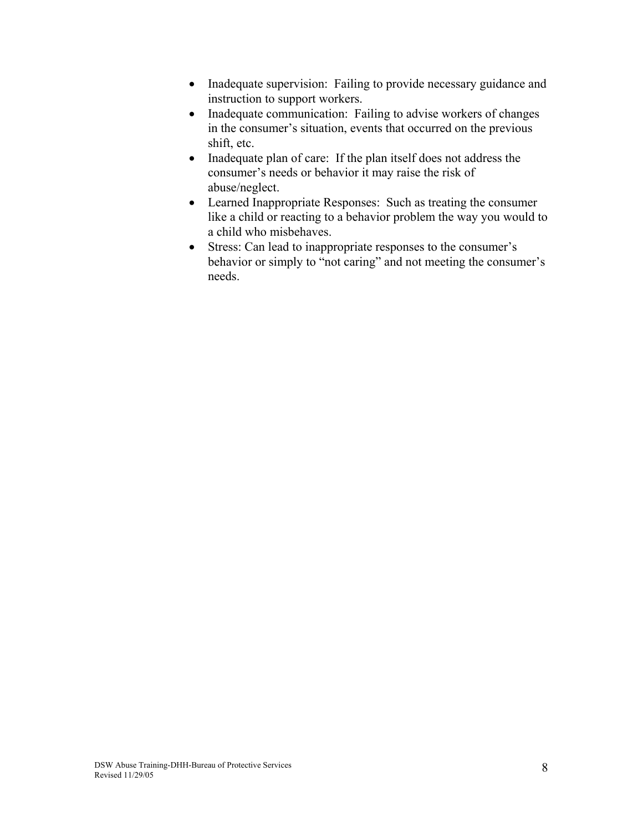- Inadequate supervision: Failing to provide necessary guidance and instruction to support workers.
- Inadequate communication: Failing to advise workers of changes in the consumer's situation, events that occurred on the previous shift, etc.
- Inadequate plan of care: If the plan itself does not address the consumer's needs or behavior it may raise the risk of abuse/neglect.
- Learned Inappropriate Responses: Such as treating the consumer like a child or reacting to a behavior problem the way you would to a child who misbehaves.
- Stress: Can lead to inappropriate responses to the consumer's behavior or simply to "not caring" and not meeting the consumer's needs.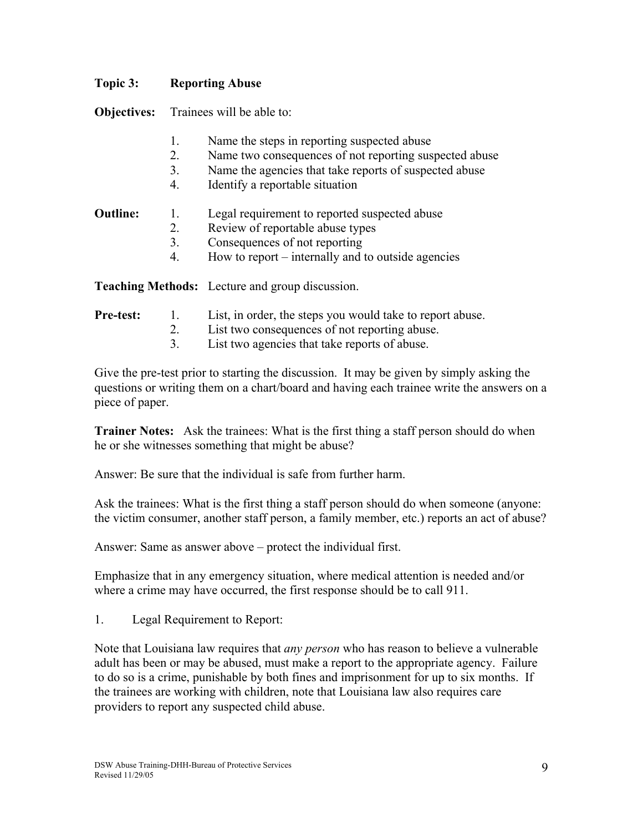### **Topic 3: Reporting Abuse**

**Objectives:** Trainees will be able to:

- 1. Name the steps in reporting suspected abuse
- 2. Name two consequences of not reporting suspected abuse
- 3. Name the agencies that take reports of suspected abuse
- 4. Identify a reportable situation

## **Outline:** 1. Legal requirement to reported suspected abuse

- 2. Review of reportable abuse types
- 3. Consequences of not reporting
- 4. How to report internally and to outside agencies

**Teaching Methods:** Lecture and group discussion.

#### **Pre-test:** 1. List, in order, the steps you would take to report abuse.

- 2. List two consequences of not reporting abuse.
- 3. List two agencies that take reports of abuse.

Give the pre-test prior to starting the discussion. It may be given by simply asking the questions or writing them on a chart/board and having each trainee write the answers on a piece of paper.

**Trainer Notes:** Ask the trainees: What is the first thing a staff person should do when he or she witnesses something that might be abuse?

Answer: Be sure that the individual is safe from further harm.

Ask the trainees: What is the first thing a staff person should do when someone (anyone: the victim consumer, another staff person, a family member, etc.) reports an act of abuse?

Answer: Same as answer above – protect the individual first.

Emphasize that in any emergency situation, where medical attention is needed and/or where a crime may have occurred, the first response should be to call 911.

1. Legal Requirement to Report:

Note that Louisiana law requires that *any person* who has reason to believe a vulnerable adult has been or may be abused, must make a report to the appropriate agency. Failure to do so is a crime, punishable by both fines and imprisonment for up to six months. If the trainees are working with children, note that Louisiana law also requires care providers to report any suspected child abuse.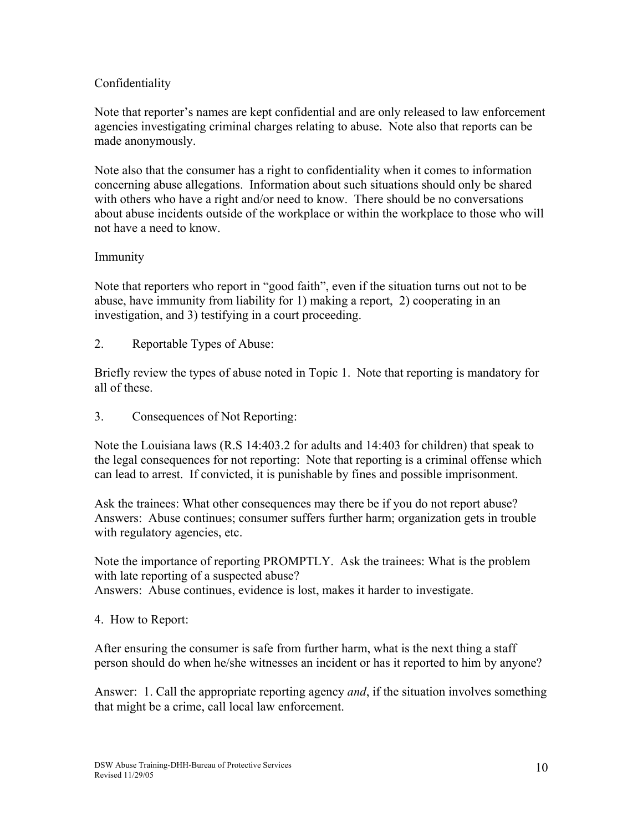### Confidentiality

Note that reporter's names are kept confidential and are only released to law enforcement agencies investigating criminal charges relating to abuse. Note also that reports can be made anonymously.

Note also that the consumer has a right to confidentiality when it comes to information concerning abuse allegations. Information about such situations should only be shared with others who have a right and/or need to know. There should be no conversations about abuse incidents outside of the workplace or within the workplace to those who will not have a need to know.

## Immunity

Note that reporters who report in "good faith", even if the situation turns out not to be abuse, have immunity from liability for 1) making a report, 2) cooperating in an investigation, and 3) testifying in a court proceeding.

2. Reportable Types of Abuse:

Briefly review the types of abuse noted in Topic 1. Note that reporting is mandatory for all of these.

3. Consequences of Not Reporting:

Note the Louisiana laws (R.S 14:403.2 for adults and 14:403 for children) that speak to the legal consequences for not reporting: Note that reporting is a criminal offense which can lead to arrest. If convicted, it is punishable by fines and possible imprisonment.

Ask the trainees: What other consequences may there be if you do not report abuse? Answers: Abuse continues; consumer suffers further harm; organization gets in trouble with regulatory agencies, etc.

Note the importance of reporting PROMPTLY. Ask the trainees: What is the problem with late reporting of a suspected abuse? Answers: Abuse continues, evidence is lost, makes it harder to investigate.

4. How to Report:

After ensuring the consumer is safe from further harm, what is the next thing a staff person should do when he/she witnesses an incident or has it reported to him by anyone?

Answer: 1. Call the appropriate reporting agency *and*, if the situation involves something that might be a crime, call local law enforcement.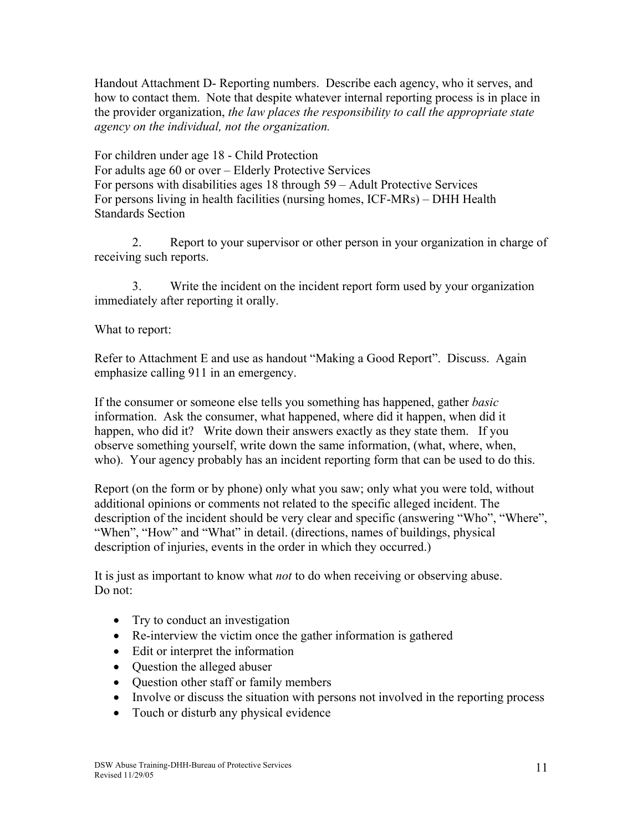Handout Attachment D- Reporting numbers. Describe each agency, who it serves, and how to contact them. Note that despite whatever internal reporting process is in place in the provider organization, *the law places the responsibility to call the appropriate state agency on the individual, not the organization.*

For children under age 18 - Child Protection For adults age 60 or over – Elderly Protective Services For persons with disabilities ages 18 through 59 – Adult Protective Services For persons living in health facilities (nursing homes, ICF-MRs) – DHH Health Standards Section

2. Report to your supervisor or other person in your organization in charge of receiving such reports.

3. Write the incident on the incident report form used by your organization immediately after reporting it orally.

What to report:

Refer to Attachment E and use as handout "Making a Good Report". Discuss. Again emphasize calling 911 in an emergency.

If the consumer or someone else tells you something has happened, gather *basic*  information. Ask the consumer, what happened, where did it happen, when did it happen, who did it? Write down their answers exactly as they state them. If you observe something yourself, write down the same information, (what, where, when, who). Your agency probably has an incident reporting form that can be used to do this.

Report (on the form or by phone) only what you saw; only what you were told, without additional opinions or comments not related to the specific alleged incident. The description of the incident should be very clear and specific (answering "Who", "Where", "When", "How" and "What" in detail. (directions, names of buildings, physical description of injuries, events in the order in which they occurred.)

It is just as important to know what *not* to do when receiving or observing abuse. Do not:

- Try to conduct an investigation
- Re-interview the victim once the gather information is gathered
- Edit or interpret the information
- Ouestion the alleged abuser
- Question other staff or family members
- Involve or discuss the situation with persons not involved in the reporting process
- Touch or disturb any physical evidence